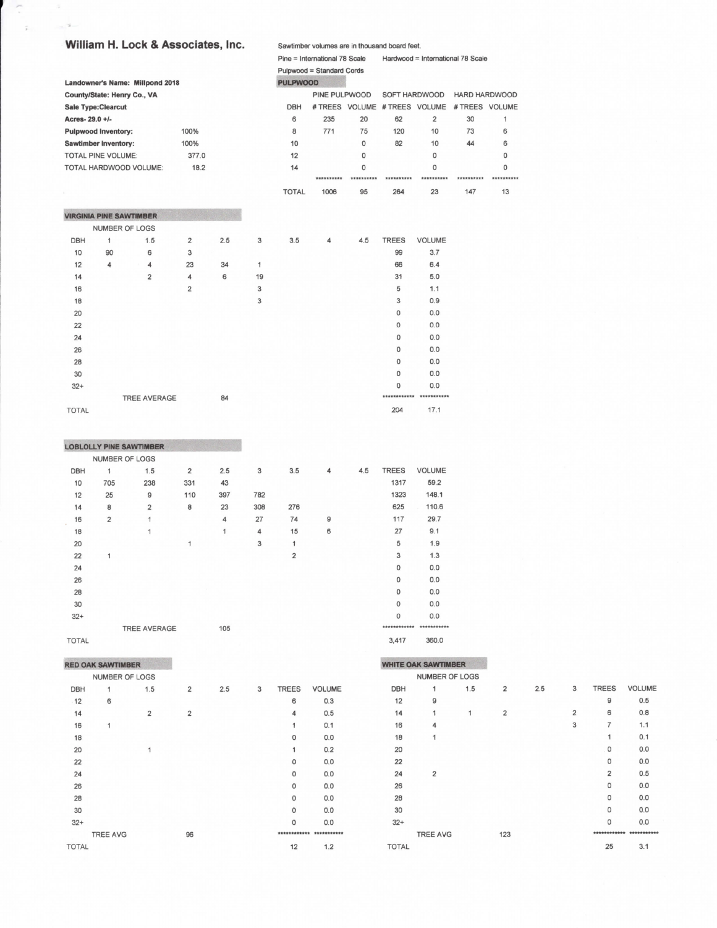## William H. Lock & Associates, Inc.

Ç

 $-2$ 

Sawtimber volumes are in thousand board feet

|                                | <b>THE TENSOL OF ASSOCIATES, THE</b> |                                 |                |     |    |                 | Sawtimber volumes are in thousand board feet. |             |                               |                |                                   |            |  |  |  |
|--------------------------------|--------------------------------------|---------------------------------|----------------|-----|----|-----------------|-----------------------------------------------|-------------|-------------------------------|----------------|-----------------------------------|------------|--|--|--|
|                                |                                      |                                 |                |     |    |                 | Pine = International 78 Scale                 |             |                               |                | Hardwood = International 78 Scale |            |  |  |  |
|                                |                                      |                                 |                |     |    |                 | Pulpwood = Standard Cords                     |             |                               |                |                                   |            |  |  |  |
|                                |                                      | Landowner's Name: Millpond 2018 |                |     |    | <b>PULPWOOD</b> |                                               |             |                               |                |                                   |            |  |  |  |
| County/State: Henry Co., VA    |                                      |                                 |                |     |    |                 | PINE PULPWOOD                                 |             | SOFT HARDWOOD                 |                | HARD HARDWOOD                     |            |  |  |  |
| <b>Sale Type:Clearcut</b>      |                                      |                                 |                |     |    | <b>DBH</b>      |                                               |             | # TREES VOLUME # TREES VOLUME |                | # TREES VOLUME                    |            |  |  |  |
| Acres-29.0 +/-                 |                                      |                                 |                |     |    | 6               | 235                                           | 20          | 62                            | $\overline{2}$ | 30                                | 1          |  |  |  |
| <b>Pulpwood inventory:</b>     |                                      |                                 | 100%           |     |    | 8               | 771                                           | 75          | 120                           | 10             | 73                                | 6          |  |  |  |
| <b>Sawtimber Inventory:</b>    |                                      |                                 | 100%           |     |    | 10              |                                               | $\mathbf 0$ | 82                            | 10             | 44                                | 6          |  |  |  |
| <b>TOTAL PINE VOLUME:</b>      |                                      |                                 | 377.0          |     |    | 12              |                                               | $\circ$     |                               | 0              |                                   | $\Omega$   |  |  |  |
|                                |                                      | TOTAL HARDWOOD VOLUME:          | 18.2           |     |    | 14              |                                               | 0           |                               | 0              |                                   | $\circ$    |  |  |  |
|                                |                                      |                                 |                |     |    |                 | **********                                    | **********  | **********                    | **********     | **********                        | ********** |  |  |  |
|                                |                                      |                                 |                |     |    | <b>TOTAL</b>    | 1006                                          | 95          | 264                           | 23             | 147                               | 13         |  |  |  |
|                                |                                      |                                 |                |     |    |                 |                                               |             |                               |                |                                   |            |  |  |  |
| <b>VIRGINIA PINE SAWTIMBER</b> |                                      |                                 |                |     |    |                 |                                               |             |                               |                |                                   |            |  |  |  |
|                                | NUMBER OF LOGS                       |                                 |                |     |    |                 |                                               |             |                               |                |                                   |            |  |  |  |
| <b>DBH</b>                     | 1                                    | 1.5                             | $\overline{2}$ | 2.5 | 3  | 3.5             | 4                                             | 4.5         | <b>TREES</b>                  | <b>VOLUME</b>  |                                   |            |  |  |  |
| 10                             | 90                                   | 6                               | 3              |     |    |                 |                                               |             | 99                            | 3.7            |                                   |            |  |  |  |
| 12                             | 4                                    | 4                               | 23             | 34  | 1  |                 |                                               |             | 66                            | 6.4            |                                   |            |  |  |  |
| 14                             |                                      | $\overline{2}$                  | 4              | 6   | 19 |                 |                                               |             | 31                            | 5.0            |                                   |            |  |  |  |
| 16                             |                                      |                                 | $\overline{2}$ |     | 3  |                 |                                               |             | 5                             | 1.1            |                                   |            |  |  |  |
| 18                             |                                      |                                 |                |     | 3  |                 |                                               |             | 3                             | 0.9            |                                   |            |  |  |  |
| 20                             |                                      |                                 |                |     |    |                 |                                               |             | 0                             | 0.0            |                                   |            |  |  |  |
| 22                             |                                      |                                 |                |     |    |                 |                                               |             | $\circ$                       | 0.0            |                                   |            |  |  |  |
| 24                             |                                      |                                 |                |     |    |                 |                                               |             | 0                             | 0.0            |                                   |            |  |  |  |
| 26                             |                                      |                                 |                |     |    |                 |                                               |             | 0                             | 0.0            |                                   |            |  |  |  |
| 28                             |                                      |                                 |                |     |    |                 |                                               |             | 0                             | 0.0            |                                   |            |  |  |  |
| 30                             |                                      |                                 |                |     |    |                 |                                               |             | 0                             | 0.0            |                                   |            |  |  |  |
| $32+$                          |                                      |                                 |                |     |    |                 |                                               |             | 0                             | 0.0            |                                   |            |  |  |  |
|                                |                                      | <b>TREE AVERAGE</b>             |                | 84  |    |                 |                                               |             | ************                  | ***********    |                                   |            |  |  |  |
| <b>TOTAL</b>                   |                                      |                                 |                |     |    |                 |                                               |             | 204                           | 17.1           |                                   |            |  |  |  |

|            |                | <b>LOBLOLLY PINE SAWTIMBER</b> |                |                |     |                |   |     |              |               |
|------------|----------------|--------------------------------|----------------|----------------|-----|----------------|---|-----|--------------|---------------|
|            |                | NUMBER OF LOGS                 |                |                |     |                |   |     |              |               |
| <b>DBH</b> | 1              | 1.5                            | $\overline{2}$ | 2.5            | 3   | 3.5            | 4 | 4.5 | <b>TREES</b> | <b>VOLUME</b> |
| 10         | 705            | 238                            | 331            | 43             |     |                |   |     | 1317         | 59.2          |
| 12         | 25             | 9                              | 110            | 397            | 782 |                |   |     | 1323         | 148.1         |
| 14         | 8              | $\overline{2}$                 | 8              | 23             | 308 | 276            |   |     | 625          | 110.6         |
| 16         | $\overline{2}$ | 1                              |                | $\overline{4}$ | 27  | 74             | 9 |     | 117          | 29.7          |
| 18         |                | 1                              |                | 1              | 4   | 15             | 6 |     | 27           | 9.1           |
| 20         |                |                                | 1              |                | 3   | 1              |   |     | 5            | 1.9           |
| 22         | 1              |                                |                |                |     | $\overline{2}$ |   |     | 3            | 1.3           |
| 24         |                |                                |                |                |     |                |   |     | $\mathbf{O}$ | 0.0           |
| 26         |                |                                |                |                |     |                |   |     | $\Omega$     | 0.0           |
| 28         |                |                                |                |                |     |                |   |     | $\mathbf{O}$ | 0.0           |
| 30         |                |                                |                |                |     |                |   |     | $\mathbf 0$  | 0.0           |
| $32+$      |                |                                |                |                |     |                |   |     | $\mathbf 0$  | 0.0           |
|            |                | <b>TREE AVERAGE</b>            |                | 105            |     |                |   |     | ************ | **********    |
|            |                |                                |                |                |     |                |   |     |              |               |

**TOTAL** 

|  | RED OAK SAWTIMBER |  |
|--|-------------------|--|
|  |                   |  |

| O     | 0.0                   |
|-------|-----------------------|
|       | ********** ********** |
| 3.417 | 360.0                 |

TREES VOLUME  $\mathsf g$ 

 $\mathbf 6$ 

 $\overline{\mathcal{I}}$ 

 $\mathbf 1$  $\mathbf 0$ 

 $\mathsf{O}\xspace$ 

 $\mathbf{2}$ 

 $\mathsf{O}$ 

 $\mathsf{O}$  $\circ$ 

 $\mathsf{o}$ 

 $0.5$ 

 $0.8\,$ 

 $1.1$  $0.1$ 

 $0.0\,$ 

 $0.0\,$ 

 $0.5\,$ 

 $0.0\,$  $0.0\,$ 

 $0.0\,$ 

 $0.0\,$ \*\*\*\*\*\*\*\*\*\*\*\*\* \*\*\*\*\*\*\*\*\*\*\* 25

 $3.1$ 

|              | <b>RED OAK SAWTIMBER</b> |                |                         |     |   |              |                         |              | <b>WHITE OAK SAWTIMBER</b> |     |                |     |                |
|--------------|--------------------------|----------------|-------------------------|-----|---|--------------|-------------------------|--------------|----------------------------|-----|----------------|-----|----------------|
|              | NUMBER OF LOGS           |                |                         |     |   |              |                         |              | NUMBER OF LOGS             |     |                |     |                |
| DBH          | 1                        | 1.5            | $\overline{2}$          | 2.5 | 3 | <b>TREES</b> | <b>VOLUME</b>           | <b>DBH</b>   | $\mathbf{1}$               | 1.5 | $\overline{2}$ | 2.5 | 3              |
| .12          | 6                        |                |                         |     |   | 6            | 0.3                     | 12           | 9                          |     |                |     |                |
| 14           |                          | $\overline{2}$ | $\overline{\mathbf{c}}$ |     |   | 4            | 0.5                     | 14           | 1                          | 1   | $\overline{2}$ |     | $\overline{2}$ |
| 16           | 1                        |                |                         |     |   | 1            | 0.1                     | 16           | 4                          |     |                |     | 3              |
| 18           |                          |                |                         |     |   | $\mathbf 0$  | 0.0                     | 18           | 1                          |     |                |     |                |
| 20           |                          |                |                         |     |   | 1            | 0.2                     | 20           |                            |     |                |     |                |
| 22           |                          |                |                         |     |   | $\mathbf 0$  | 0.0                     | 22           |                            |     |                |     |                |
| 24           |                          |                |                         |     |   | 0            | 0.0                     | 24           | $\overline{2}$             |     |                |     |                |
| 26           |                          |                |                         |     |   | 0            | 0.0                     | 26           |                            |     |                |     |                |
| 28           |                          |                |                         |     |   | $\mathsf D$  | 0.0                     | 28           |                            |     |                |     |                |
| 30           |                          |                |                         |     |   | $\mathbf{O}$ | 0.0                     | 30           |                            |     |                |     |                |
| $32+$        |                          |                |                         |     |   | 0            | 0.0                     | $32+$        |                            |     |                |     |                |
|              | <b>TREE AVG</b>          |                | 96                      |     |   |              | ************ ********** |              | <b>TREE AVG</b>            |     | 123            |     |                |
| <b>TOTAL</b> |                          |                |                         |     |   | 12           | 1.2                     | <b>TOTAL</b> |                            |     |                |     |                |